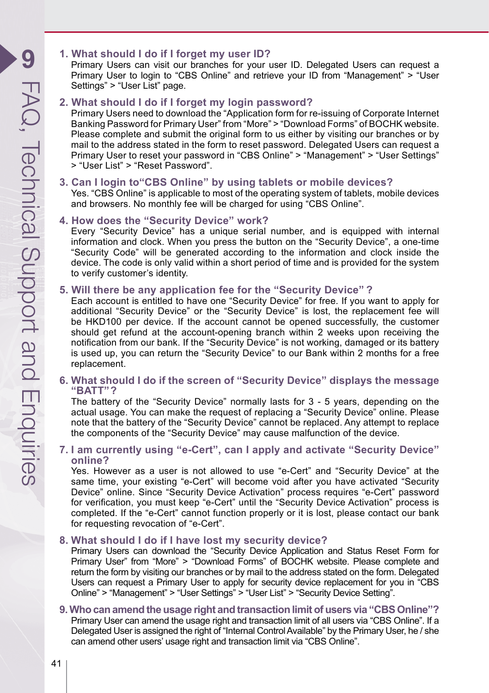## **1. What should I do if I forget my user ID?**

Primary Users can visit our branches for your user ID. Delegated Users can request a Primary User to login to "CBS Online" and retrieve your ID from "Management" > "User Settings" > "User List" page.

#### **2. What should I do if I forget my login password?**

Primary Users need to download the "Application form for re-issuing of Corporate Internet Banking Password for Primary User" from "More" > "Download Forms" of BOCHK website. Please complete and submit the original form to us either by visiting our branches or by mail to the address stated in the form to reset password. Delegated Users can request a Primary User to reset your password in "CBS Online" > "Management" > "User Settings" > "User List" > "Reset Password".

# **3. Can I login to"CBS Online" by using tablets or mobile devices?**

Yes. "CBS Online" is applicable to most of the operating system of tablets, mobile devices and browsers. No monthly fee will be charged for using "CBS Online".

#### **4. How does the "Security Device" work?**

Every "Security Device" has a unique serial number, and is equipped with internal information and clock. When you press the button on the "Security Device", a one-time "Security Code" will be generated according to the information and clock inside the device. The code is only valid within a short period of time and is provided for the system to verify customer's identity.

#### **5. Will there be any application fee for the "Security Device" ?**

Each account is entitled to have one "Security Device" for free. If you want to apply for additional "Security Device" or the "Security Device" is lost, the replacement fee will be HKD100 per device. If the account cannot be opened successfully, the customer should get refund at the account-opening branch within 2 weeks upon receiving the notification from our bank. If the "Security Device" is not working, damaged or its battery is used up, you can return the "Security Device" to our Bank within 2 months for a free replacement.

#### **6. What should I do if the screen of "Security Device" displays the message "BATT"?**

The battery of the "Security Device" normally lasts for 3 - 5 years, depending on the actual usage. You can make the request of replacing a "Security Device" online. Please note that the battery of the "Security Device" cannot be replaced. Any attempt to replace the components of the "Security Device" may cause malfunction of the device.

#### **7. I am currently using "e-Cert", can I apply and activate "Security Device" online?**

Yes. However as a user is not allowed to use "e-Cert" and "Security Device" at the same time, your existing "e-Cert" will become void after you have activated "Security Device" online. Since "Security Device Activation" process requires "e-Cert" password for verification, you must keep "e-Cert" until the "Security Device Activation" process is completed. If the "e-Cert" cannot function properly or it is lost, please contact our bank for requesting revocation of "e-Cert".

#### **8. What should I do if I have lost my security device?**

Primary Users can download the "Security Device Application and Status Reset Form for Primary User" from "More" > "Download Forms" of BOCHK website. Please complete and return the form by visiting our branches or by mail to the address stated on the form. Delegated Users can request a Primary User to apply for security device replacement for you in "CBS Online" > "Management" > "User Settings" > "User List" > "Security Device Setting".

#### **9. Who can amend the usage right and transaction limit of users via "CBS Online"?** Primary User can amend the usage right and transaction limit of all users via "CBS Online". If a Delegated User is assigned the right of "Internal Control Available" by the Primary User, he / she can amend other users' usage right and transaction limit via "CBS Online".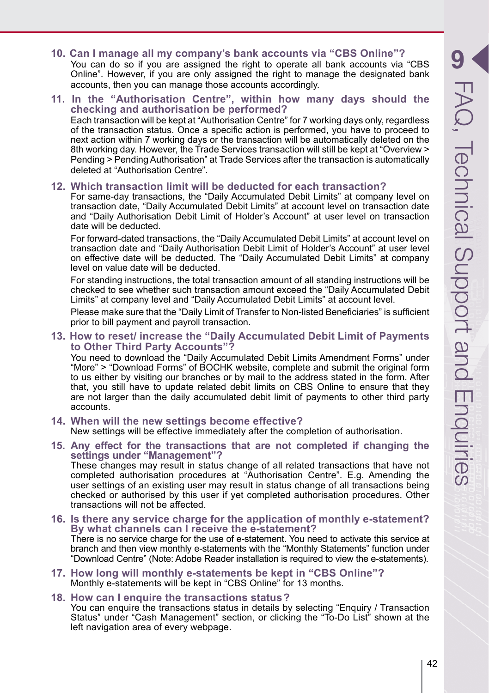- **10. Can I manage all my company's bank accounts via "CBS Online"?** You can do so if you are assigned the right to operate all bank accounts via "CBS" Online". However, if you are only assigned the right to manage the designated bank accounts, then you can manage those accounts accordingly.
- **11. In the "Authorisation Centre", within how many days should the checking and authorisation be performed?**  Each transaction will be kept at "Authorisation Centre" for 7 working days only, regardless of the transaction status. Once a specific action is performed, you have to proceed to next action within 7 working days or the transaction will be automatically deleted on the 8th working day. However, the Trade Services transaction will still be kept at "Overview > Pending > Pending Authorisation" at Trade Services after the transaction is automatically deleted at "Authorisation Centre".

#### **12. Which transaction limit will be deducted for each transaction?**

For same-day transactions, the "Daily Accumulated Debit Limits" at company level on transaction date, "Daily Accumulated Debit Limits" at account level on transaction date and "Daily Authorisation Debit Limit of Holder's Account" at user level on transaction date will be deducted.

For forward-dated transactions, the "Daily Accumulated Debit Limits" at account level on transaction date and "Daily Authorisation Debit Limit of Holder's Account" at user level on effective date will be deducted. The "Daily Accumulated Debit Limits" at company level on value date will be deducted.

For standing instructions, the total transaction amount of all standing instructions will be checked to see whether such transaction amount exceed the "Daily Accumulated Debit Limits" at company level and "Daily Accumulated Debit Limits" at account level.

Please make sure that the "Daily Limit of Transfer to Non-listed Beneficiaries" is sufficient prior to bill payment and payroll transaction.

**13. How to reset/ increase the "Daily Accumulated Debit Limit of Payments to Other Third Party Accounts"?**

You need to download the "Daily Accumulated Debit Limits Amendment Forms" under "More" > "Download Forms" of BOCHK website, complete and submit the original form to us either by visiting our branches or by mail to the address stated in the form. After that, you still have to update related debit limits on CBS Online to ensure that they are not larger than the daily accumulated debit limit of payments to other third party accounts.

- **14. When will the new settings become effective?** New settings will be effective immediately after the completion of authorisation.
- **15. Any effect for the transactions that are not completed if changing the settings under "Management"?**

These changes may result in status change of all related transactions that have not completed authorisation procedures at "Authorisation Centre". E.g. Amending the user settings of an existing user may result in status change of all transactions being checked or authorised by this user if yet completed authorisation procedures. Other transactions will not be affected.

- **16. Is there any service charge for the application of monthly e-statement? By what channels can I receive the e-statement?** There is no service charge for the use of e-statement. You need to activate this service at branch and then view monthly e-statements with the "Monthly Statements" function under "Download Centre" (Note: Adobe Reader installation is required to view the e-statements).
- **17. How long will monthly e-statements be kept in "CBS Online"?** Monthly e-statements will be kept in "CBS Online" for 13 months.

#### **18. How can I enquire the transactions status?**

You can enquire the transactions status in details by selecting "Enquiry / Transaction Status" under "Cash Management" section, or clicking the "To-Do List" shown at the left navigation area of every webpage.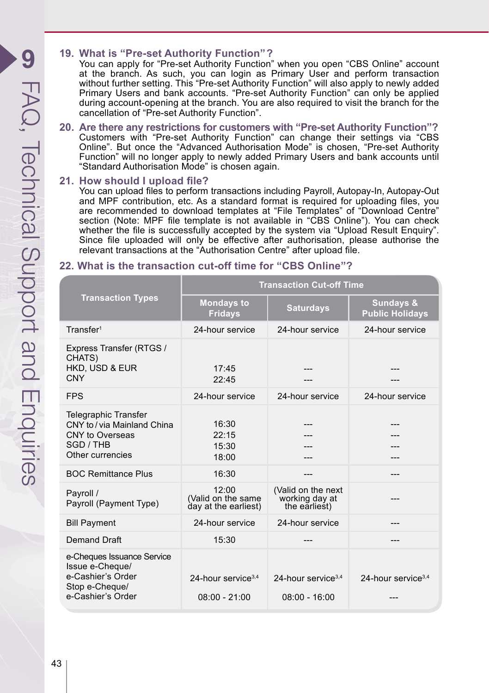# **19. What is "Pre-set Authority Function"?**

You can apply for "Pre-set Authority Function" when you open "CBS Online" account at the branch. As such, you can login as Primary User and perform transaction without further setting. This "Pre-set Authority Function" will also apply to newly added Primary Users and bank accounts. "Pre-set Authority Function" can only be applied during account-opening at the branch. You are also required to visit the branch for the cancellation of "Pre-set Authority Function".

**20. Are there any restrictions for customers with "Pre-set Authority Function"?** Customers with "Pre-set Authority Function" can change their settings via "CBS Online". But once the "Advanced Authorisation Mode" is chosen, "Pre-set Authority Function" will no longer apply to newly added Primary Users and bank accounts until "Standard Authorisation Mode" is chosen again.

## **21. How should I upload file?**

You can upload files to perform transactions including Payroll, Autopay-In, Autopay-Out and MPF contribution, etc. As a standard format is required for uploading files, you are recommended to download templates at "File Templates" of "Download Centre" section (Note: MPF file template is not available in "CBS Online"). You can check whether the file is successfully accepted by the system via "Upload Result Enquiry". Since file uploaded will only be effective after authorisation, please authorise the relevant transactions at the "Authorisation Centre" after upload file.

# **22. What is the transaction cut-off time for "CBS Online"?**

| <b>Transaction Types</b>                                                                                  | <b>Transaction Cut-off Time</b>                     |                                                       |                                                |
|-----------------------------------------------------------------------------------------------------------|-----------------------------------------------------|-------------------------------------------------------|------------------------------------------------|
|                                                                                                           | <b>Mondays to</b><br><b>Fridays</b>                 | <b>Saturdays</b>                                      | <b>Sundays &amp;</b><br><b>Public Holidays</b> |
| Transfer <sup>1</sup>                                                                                     | 24-hour service                                     | 24-hour service                                       | 24-hour service                                |
| Express Transfer (RTGS /<br>CHATS)<br>HKD, USD & EUR<br>CNY                                               | 17.45<br>22:45                                      |                                                       |                                                |
| <b>FPS</b>                                                                                                | 24-hour service                                     | 24-hour service                                       | 24-hour service                                |
| Telegraphic Transfer<br>CNY to / via Mainland China<br>CNY to Overseas<br>SGD / THB<br>Other currencies   | 16:30<br>22:15<br>15:30<br>18:00                    |                                                       |                                                |
| <b>BOC Remittance Plus</b>                                                                                | 16:30                                               | ---                                                   |                                                |
| Payroll /<br>Payroll (Payment Type)                                                                       | 12:00<br>(Valid on the same<br>day at the earliest) | (Valid on the next<br>working day at<br>the earliest) |                                                |
| <b>Bill Payment</b>                                                                                       | 24-hour service                                     | 24-hour service                                       |                                                |
| Demand Draft                                                                                              | 15:30                                               |                                                       |                                                |
| e-Cheques Issuance Service<br>Issue e-Cheque/<br>e-Cashier's Order<br>Stop e-Cheque/<br>e-Cashier's Order | 24-hour service <sup>3,4</sup><br>$08:00 - 21:00$   | 24-hour service <sup>3,4</sup><br>$08:00 - 16:00$     | 24-hour service <sup>3,4</sup>                 |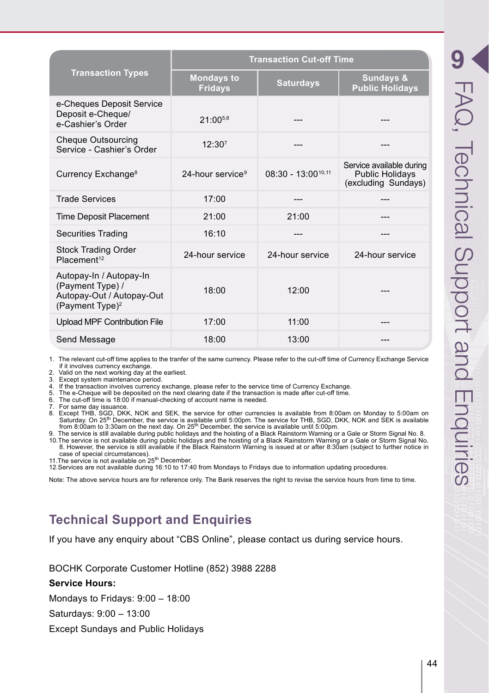| <b>Transaction Types</b>                                                                                | <b>Transaction Cut-off Time</b>     |                         |                                                                           |
|---------------------------------------------------------------------------------------------------------|-------------------------------------|-------------------------|---------------------------------------------------------------------------|
|                                                                                                         | <b>Mondays to</b><br><b>Fridays</b> | <b>Saturdays</b>        | Sundays &<br><b>Public Holidays</b>                                       |
| e-Cheques Deposit Service<br>Deposit e-Cheque/<br>e-Cashier's Order                                     | $21:00^{5,6}$                       |                         |                                                                           |
| <b>Cheque Outsourcing</b><br>Service - Cashier's Order                                                  | 12:30 <sup>7</sup>                  |                         |                                                                           |
| Currency Exchange <sup>8</sup>                                                                          | 24-hour service <sup>9</sup>        | $08:30 - 13:00^{10,11}$ | Service available during<br><b>Public Holidays</b><br>(excluding Sundays) |
| <b>Trade Services</b>                                                                                   | 17:00                               |                         |                                                                           |
| <b>Time Deposit Placement</b>                                                                           | 21:00                               | 21:00                   |                                                                           |
| <b>Securities Trading</b>                                                                               | 16:10                               | ---                     |                                                                           |
| <b>Stock Trading Order</b><br>Placement <sup>12</sup>                                                   | 24-hour service                     | 24-hour service         | 24-hour service                                                           |
| Autopay-In / Autopay-In<br>(Payment Type) /<br>Autopay-Out / Autopay-Out<br>(Payment Type) <sup>2</sup> | 18:00                               | 12.00                   |                                                                           |
| <b>Upload MPF Contribution File</b>                                                                     | 17:00                               | 11:00                   | ---                                                                       |
| Send Message                                                                                            | 18:00                               | 13:00                   |                                                                           |

1. The relevant cut-off time applies to the tranfer of the same currency. Please refer to the cut-off time of Currency Exchange Service if it involves currency exchange.

2. Valid on the next working day at the earliest.<br>3. Except system maintenance period

Except system maintenance period.

4. If the transaction involves currency exchange, please refer to the service time of Currency Exchange.

5. The e-Cheque will be deposited on the next clearing date if the transaction is made after cut-off time.

6. The cut-off time is 18:00 if manual-checking of account name is needed.

7. For same day issuance. 8. Except THB, SGD, DKK, NOK and SEK, the service for other currencies is available from 8:00am on Monday to 5:00am on Saturday. On 25th December, the service is available until 5:00pm. The service for THB, SGD, DKK, NOK and SEK is available from 8:00am to 3:30am on the next day. On 25th December, the service is available until 5:00pm.

9. The service is still available during public holidays and the hoisting of a Black Rainstorm Warning or a Gale or Storm Signal No. 8. 10.The service is not available during public holidays and the hoisting of a Black Rainstorm Warning or a Gale or Storm Signal No.

8. However, the service is still available if the Black Rainstorm Warning is issued at or after 8:30am (subject to further notice in case of special circumstances).<br>11.The service is not available on 25<sup>th</sup> December.

12.Services are not available during 16:10 to 17:40 from Mondays to Fridays due to information updating procedures.

Note: The above service hours are for reference only. The Bank reserves the right to revise the service hours from time to time.

# **Technical Support and Enquiries**

If you have any enquiry about "CBS Online", please contact us during service hours.

BOCHK Corporate Customer Hotline (852) 3988 2288

#### **Service Hours:**

Mondays to Fridays: 9:00 – 18:00

Saturdays: 9:00 – 13:00

Except Sundays and Public Holidays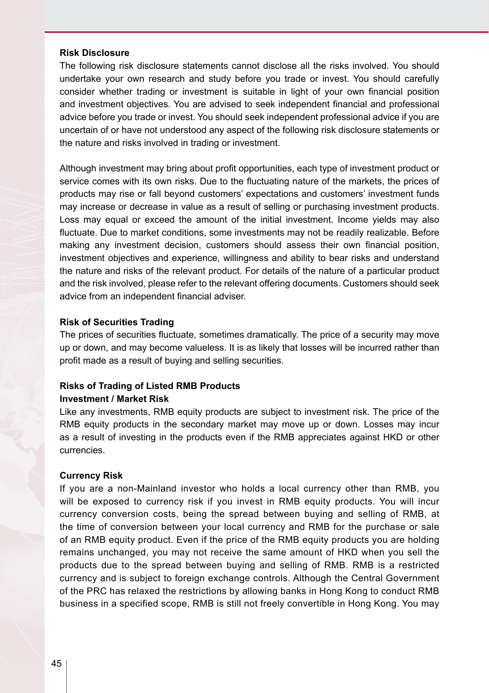#### **Risk Disclosure**

The following risk disclosure statements cannot disclose all the risks involved. You should undertake your own research and study before you trade or invest. You should carefully consider whether trading or investment is suitable in light of your own financial position and investment objectives. You are advised to seek independent financial and professional advice before you trade or invest. You should seek independent professional advice if you are uncertain of or have not understood any aspect of the following risk disclosure statements or the nature and risks involved in trading or investment.

Although investment may bring about profit opportunities, each type of investment product or service comes with its own risks. Due to the fluctuating nature of the markets, the prices of products may rise or fall beyond customers' expectations and customers' investment funds may increase or decrease in value as a result of selling or purchasing investment products. Loss may equal or exceed the amount of the initial investment. Income yields may also fluctuate. Due to market conditions, some investments may not be readily realizable. Before making any investment decision, customers should assess their own financial position, investment objectives and experience, willingness and ability to bear risks and understand the nature and risks of the relevant product. For details of the nature of a particular product and the risk involved, please refer to the relevant offering documents. Customers should seek advice from an independent financial adviser.

#### **Risk of Securities Trading**

The prices of securities fluctuate, sometimes dramatically. The price of a security may move up or down, and may become valueless. It is as likely that losses will be incurred rather than profit made as a result of buying and selling securities.

#### **Risks of Trading of Listed RMB Products Investment / Market Risk**

Like any investments, RMB equity products are subject to investment risk. The price of the RMB equity products in the secondary market may move up or down. Losses may incur as a result of investing in the products even if the RMB appreciates against HKD or other currencies.

#### **Currency Risk**

If you are a non-Mainland investor who holds a local currency other than RMB, you will be exposed to currency risk if you invest in RMB equity products. You will incur currency conversion costs, being the spread between buying and selling of RMB, at the time of conversion between your local currency and RMB for the purchase or sale of an RMB equity product. Even if the price of the RMB equity products you are holding remains unchanged, you may not receive the same amount of HKD when you sell the products due to the spread between buying and selling of RMB. RMB is a restricted currency and is subject to foreign exchange controls. Although the Central Government of the PRC has relaxed the restrictions by allowing banks in Hong Kong to conduct RMB business in a specified scope, RMB is still not freely convertible in Hong Kong. You may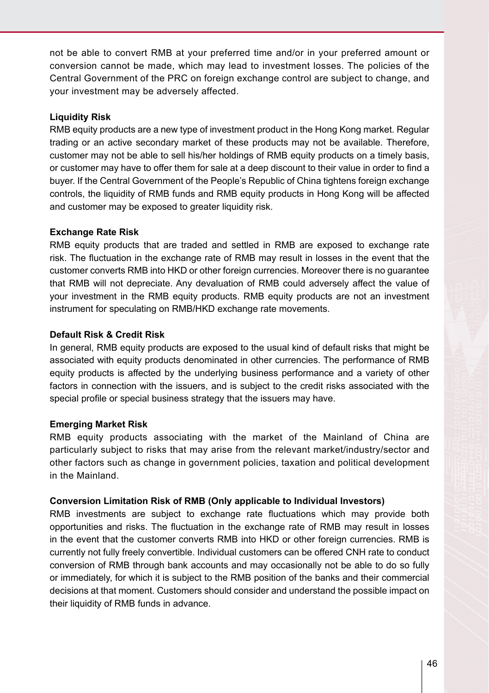not be able to convert RMB at your preferred time and/or in your preferred amount or conversion cannot be made, which may lead to investment losses. The policies of the Central Government of the PRC on foreign exchange control are subject to change, and your investment may be adversely affected.

### **Liquidity Risk**

RMB equity products are a new type of investment product in the Hong Kong market. Regular trading or an active secondary market of these products may not be available. Therefore, customer may not be able to sell his/her holdings of RMB equity products on a timely basis, or customer may have to offer them for sale at a deep discount to their value in order to find a buyer. If the Central Government of the People's Republic of China tightens foreign exchange controls, the liquidity of RMB funds and RMB equity products in Hong Kong will be affected and customer may be exposed to greater liquidity risk.

#### **Exchange Rate Risk**

RMB equity products that are traded and settled in RMB are exposed to exchange rate risk. The fluctuation in the exchange rate of RMB may result in losses in the event that the customer converts RMB into HKD or other foreign currencies. Moreover there is no guarantee that RMB will not depreciate. Any devaluation of RMB could adversely affect the value of your investment in the RMB equity products. RMB equity products are not an investment instrument for speculating on RMB/HKD exchange rate movements.

## **Default Risk & Credit Risk**

In general. RMB equity products are exposed to the usual kind of default risks that might be associated with equity products denominated in other currencies. The performance of RMB equity products is affected by the underlying business performance and a variety of other factors in connection with the issuers, and is subject to the credit risks associated with the special profile or special business strategy that the issuers may have.

#### **Emerging Market Risk**

RMB equity products associating with the market of the Mainland of China are particularly subject to risks that may arise from the relevant market/industry/sector and other factors such as change in government policies, taxation and political development in the Mainland.

#### **Conversion Limitation Risk of RMB (Only applicable to Individual Investors)**

RMB investments are subject to exchange rate fluctuations which may provide both opportunities and risks. The fluctuation in the exchange rate of RMB may result in losses in the event that the customer converts RMB into HKD or other foreign currencies. RMB is currently not fully freely convertible. Individual customers can be offered CNH rate to conduct conversion of RMB through bank accounts and may occasionally not be able to do so fully or immediately, for which it is subject to the RMB position of the banks and their commercial decisions at that moment. Customers should consider and understand the possible impact on their liquidity of RMB funds in advance.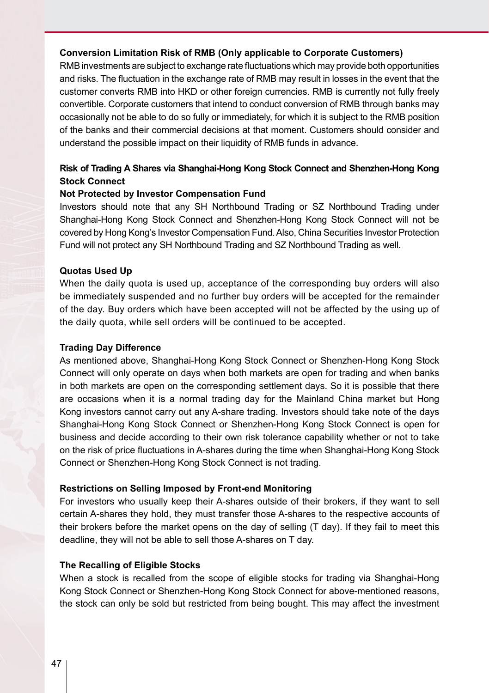## **Conversion Limitation Risk of RMB (Only applicable to Corporate Customers)**

RMB investments are subject to exchange rate fluctuations which may provide both opportunities and risks. The fluctuation in the exchange rate of RMB may result in losses in the event that the customer converts RMB into HKD or other foreign currencies. RMB is currently not fully freely convertible. Corporate customers that intend to conduct conversion of RMB through banks may occasionally not be able to do so fully or immediately, for which it is subject to the RMB position of the banks and their commercial decisions at that moment. Customers should consider and understand the possible impact on their liquidity of RMB funds in advance.

## **Risk of Trading A Shares via Shanghai-Hong Kong Stock Connect and Shenzhen-Hong Kong Stock Connect**

## **Not Protected by Investor Compensation Fund**

Investors should note that any SH Northbound Trading or SZ Northbound Trading under Shanghai-Hong Kong Stock Connect and Shenzhen-Hong Kong Stock Connect will not be covered by Hong Kong's Investor Compensation Fund. Also, China Securities Investor Protection Fund will not protect any SH Northbound Trading and SZ Northbound Trading as well.

#### **Quotas Used Up**

When the daily quota is used up, acceptance of the corresponding buy orders will also be immediately suspended and no further buy orders will be accepted for the remainder of the day. Buy orders which have been accepted will not be affected by the using up of the daily quota, while sell orders will be continued to be accepted.

#### **Trading Day Difference**

As mentioned above, Shanghai-Hong Kong Stock Connect or Shenzhen-Hong Kong Stock Connect will only operate on days when both markets are open for trading and when banks in both markets are open on the corresponding settlement days. So it is possible that there are occasions when it is a normal trading day for the Mainland China market but Hong Kong investors cannot carry out any A-share trading. Investors should take note of the days Shanghai-Hong Kong Stock Connect or Shenzhen-Hong Kong Stock Connect is open for business and decide according to their own risk tolerance capability whether or not to take on the risk of price fluctuations in A-shares during the time when Shanghai-Hong Kong Stock Connect or Shenzhen-Hong Kong Stock Connect is not trading.

#### **Restrictions on Selling Imposed by Front-end Monitoring**

For investors who usually keep their A-shares outside of their brokers, if they want to sell certain A-shares they hold, they must transfer those A-shares to the respective accounts of their brokers before the market opens on the day of selling (T day). If they fail to meet this deadline, they will not be able to sell those A-shares on T day.

#### **The Recalling of Eligible Stocks**

When a stock is recalled from the scope of eligible stocks for trading via Shanghai-Hong Kong Stock Connect or Shenzhen-Hong Kong Stock Connect for above-mentioned reasons, the stock can only be sold but restricted from being bought. This may affect the investment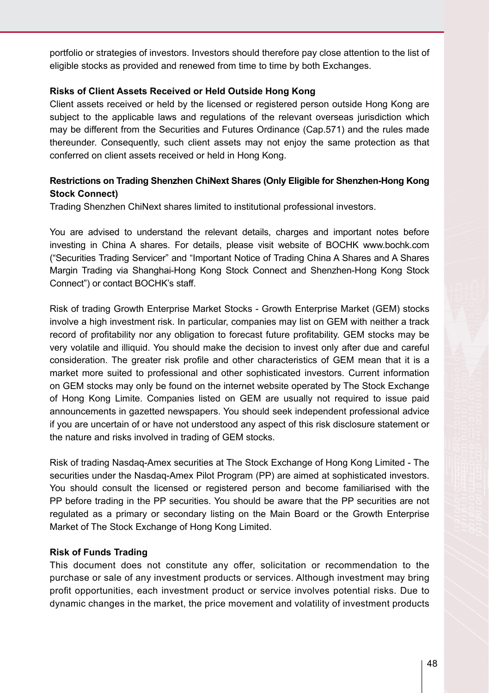portfolio or strategies of investors. Investors should therefore pay close attention to the list of eligible stocks as provided and renewed from time to time by both Exchanges.

## **Risks of Client Assets Received or Held Outside Hong Kong**

Client assets received or held by the licensed or registered person outside Hong Kong are subject to the applicable laws and regulations of the relevant overseas jurisdiction which may be different from the Securities and Futures Ordinance (Cap.571) and the rules made thereunder. Consequently, such client assets may not enjoy the same protection as that conferred on client assets received or held in Hong Kong.

# **Restrictions on Trading Shenzhen ChiNext Shares (Only Eligible for Shenzhen-Hong Kong Stock Connect)**

Trading Shenzhen ChiNext shares limited to institutional professional investors.

You are advised to understand the relevant details, charges and important notes before investing in China A shares. For details, please visit website of BOCHK www.bochk.com ("Securities Trading Servicer" and "Important Notice of Trading China A Shares and A Shares Margin Trading via Shanghai-Hong Kong Stock Connect and Shenzhen-Hong Kong Stock Connect") or contact BOCHK's staff.

Risk of trading Growth Enterprise Market Stocks - Growth Enterprise Market (GEM) stocks involve a high investment risk. In particular, companies may list on GEM with neither a track record of profitability nor any obligation to forecast future profitability. GEM stocks may be very volatile and illiquid. You should make the decision to invest only after due and careful consideration. The greater risk profile and other characteristics of GEM mean that it is a market more suited to professional and other sophisticated investors. Current information on GEM stocks may only be found on the internet website operated by The Stock Exchange of Hong Kong Limite. Companies listed on GEM are usually not required to issue paid announcements in gazetted newspapers. You should seek independent professional advice if you are uncertain of or have not understood any aspect of this risk disclosure statement or the nature and risks involved in trading of GEM stocks.

Risk of trading Nasdaq-Amex securities at The Stock Exchange of Hong Kong Limited - The securities under the Nasdaq-Amex Pilot Program (PP) are aimed at sophisticated investors. You should consult the licensed or registered person and become familiarised with the PP before trading in the PP securities. You should be aware that the PP securities are not regulated as a primary or secondary listing on the Main Board or the Growth Enterprise Market of The Stock Exchange of Hong Kong Limited.

#### **Risk of Funds Trading**

This document does not constitute any offer, solicitation or recommendation to the purchase or sale of any investment products or services. Although investment may bring profit opportunities, each investment product or service involves potential risks. Due to dynamic changes in the market, the price movement and volatility of investment products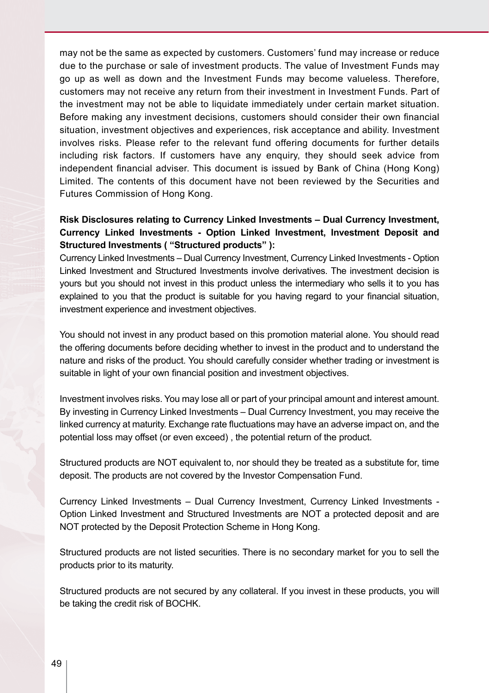may not be the same as expected by customers. Customers' fund may increase or reduce due to the purchase or sale of investment products. The value of Investment Funds may go up as well as down and the Investment Funds may become valueless. Therefore, customers may not receive any return from their investment in Investment Funds. Part of the investment may not be able to liquidate immediately under certain market situation. Before making any investment decisions, customers should consider their own financial situation, investment objectives and experiences, risk acceptance and ability. Investment involves risks. Please refer to the relevant fund offering documents for further details including risk factors. If customers have any enquiry, they should seek advice from independent financial adviser. This document is issued by Bank of China (Hong Kong) Limited. The contents of this document have not been reviewed by the Securities and Futures Commission of Hong Kong.

# **Risk Disclosures relating to Currency Linked Investments – Dual Currency Investment, Currency Linked Investments - Option Linked Investment, Investment Deposit and Structured Investments ( "Structured products" ):**

Currency Linked Investments – Dual Currency Investment, Currency Linked Investments - Option Linked Investment and Structured Investments involve derivatives. The investment decision is yours but you should not invest in this product unless the intermediary who sells it to you has explained to you that the product is suitable for you having regard to your financial situation, investment experience and investment objectives.

You should not invest in any product based on this promotion material alone. You should read the offering documents before deciding whether to invest in the product and to understand the nature and risks of the product. You should carefully consider whether trading or investment is suitable in light of your own financial position and investment objectives.

Investment involves risks. You may lose all or part of your principal amount and interest amount. By investing in Currency Linked Investments – Dual Currency Investment, you may receive the linked currency at maturity. Exchange rate fluctuations may have an adverse impact on, and the potential loss may offset (or even exceed) , the potential return of the product.

Structured products are NOT equivalent to, nor should they be treated as a substitute for, time deposit. The products are not covered by the Investor Compensation Fund.

Currency Linked Investments – Dual Currency Investment, Currency Linked Investments - Option Linked Investment and Structured Investments are NOT a protected deposit and are NOT protected by the Deposit Protection Scheme in Hong Kong.

Structured products are not listed securities. There is no secondary market for you to sell the products prior to its maturity.

Structured products are not secured by any collateral. If you invest in these products, you will be taking the credit risk of BOCHK.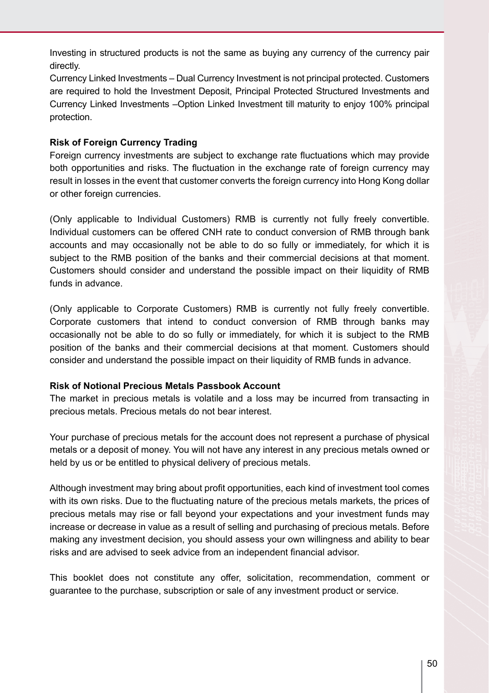Investing in structured products is not the same as buying any currency of the currency pair directly.

Currency Linked Investments – Dual Currency Investment is not principal protected. Customers are required to hold the Investment Deposit, Principal Protected Structured Investments and Currency Linked Investments –Option Linked Investment till maturity to enjoy 100% principal protection.

## **Risk of Foreign Currency Trading**

Foreign currency investments are subject to exchange rate fluctuations which may provide both opportunities and risks. The fluctuation in the exchange rate of foreign currency may result in losses in the event that customer converts the foreign currency into Hong Kong dollar or other foreign currencies.

(Only applicable to Individual Customers) RMB is currently not fully freely convertible. Individual customers can be offered CNH rate to conduct conversion of RMB through bank accounts and may occasionally not be able to do so fully or immediately, for which it is subject to the RMB position of the banks and their commercial decisions at that moment. Customers should consider and understand the possible impact on their liquidity of RMB funds in advance.

(Only applicable to Corporate Customers) RMB is currently not fully freely convertible. Corporate customers that intend to conduct conversion of RMB through banks may occasionally not be able to do so fully or immediately, for which it is subject to the RMB position of the banks and their commercial decisions at that moment. Customers should consider and understand the possible impact on their liquidity of RMB funds in advance.

#### **Risk of Notional Precious Metals Passbook Account**

The market in precious metals is volatile and a loss may be incurred from transacting in precious metals. Precious metals do not bear interest.

Your purchase of precious metals for the account does not represent a purchase of physical metals or a deposit of money. You will not have any interest in any precious metals owned or held by us or be entitled to physical delivery of precious metals.

Although investment may bring about profit opportunities, each kind of investment tool comes with its own risks. Due to the fluctuating nature of the precious metals markets, the prices of precious metals may rise or fall beyond your expectations and your investment funds may increase or decrease in value as a result of selling and purchasing of precious metals. Before making any investment decision, you should assess your own willingness and ability to bear risks and are advised to seek advice from an independent financial advisor.

This booklet does not constitute any offer, solicitation, recommendation, comment or guarantee to the purchase, subscription or sale of any investment product or service.